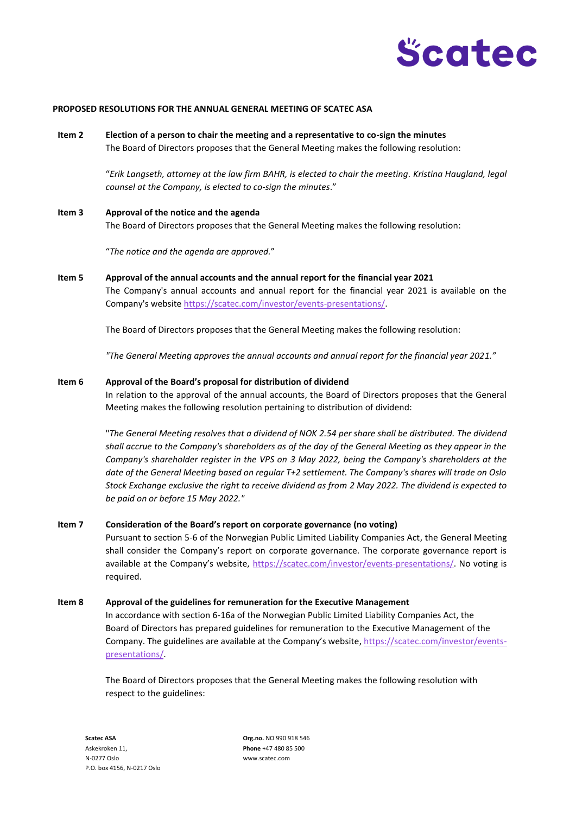

### **PROPOSED RESOLUTIONS FOR THE ANNUAL GENERAL MEETING OF SCATEC ASA**

**Item 2 Election of a person to chair the meeting and a representative to co-sign the minutes** The Board of Directors proposes that the General Meeting makes the following resolution:

> "*Erik Langseth, attorney at the law firm BAHR, is elected to chair the meeting. Kristina Haugland, legal counsel at the Company, is elected to co-sign the minutes*."

**Item 3 Approval of the notice and the agenda**  The Board of Directors proposes that the General Meeting makes the following resolution:

"*The notice and the agenda are approved.*"

**Item 5 Approval of the annual accounts and the annual report for the financial year 2021** The Company's annual accounts and annual report for the financial year 2021 is available on the Company's website [https://scatec.com/investor/events-presentations/.](https://scatec.com/investor/events-presentations/)

The Board of Directors proposes that the General Meeting makes the following resolution:

*"The General Meeting approves the annual accounts and annual report for the financial year 2021."*

#### **Item 6 Approval of the Board's proposal for distribution of dividend**

In relation to the approval of the annual accounts, the Board of Directors proposes that the General Meeting makes the following resolution pertaining to distribution of dividend:

"*The General Meeting resolves that a dividend of NOK 2.54 per share shall be distributed. The dividend shall accrue to the Company's shareholders as of the day of the General Meeting as they appear in the Company's shareholder register in the VPS on 3 May 2022, being the Company's shareholders at the date of the General Meeting based on regular T+2 settlement. The Company's shares will trade on Oslo Stock Exchange exclusive the right to receive dividend as from 2 May 2022. The dividend is expected to be paid on or before 15 May 2022."*

## **Item 7 Consideration of the Board's report on corporate governance (no voting)**

Pursuant to section 5-6 of the Norwegian Public Limited Liability Companies Act, the General Meeting shall consider the Company's report on corporate governance. The corporate governance report is available at the Company's website, [https://scatec.com/investor/events-presentations/.](https://scatec.com/investor/events-presentations/) No voting is required.

#### **Item 8 Approval of the guidelines for remuneration for the Executive Management**

In accordance with section 6-16a of the Norwegian Public Limited Liability Companies Act, the Board of Directors has prepared guidelines for remuneration to the Executive Management of the Company. The guidelines are available at the Company's website, [https://scatec.com/investor/events](https://scatec.com/investor/events-presentations/)[presentations/.](https://scatec.com/investor/events-presentations/)

The Board of Directors proposes that the General Meeting makes the following resolution with respect to the guidelines: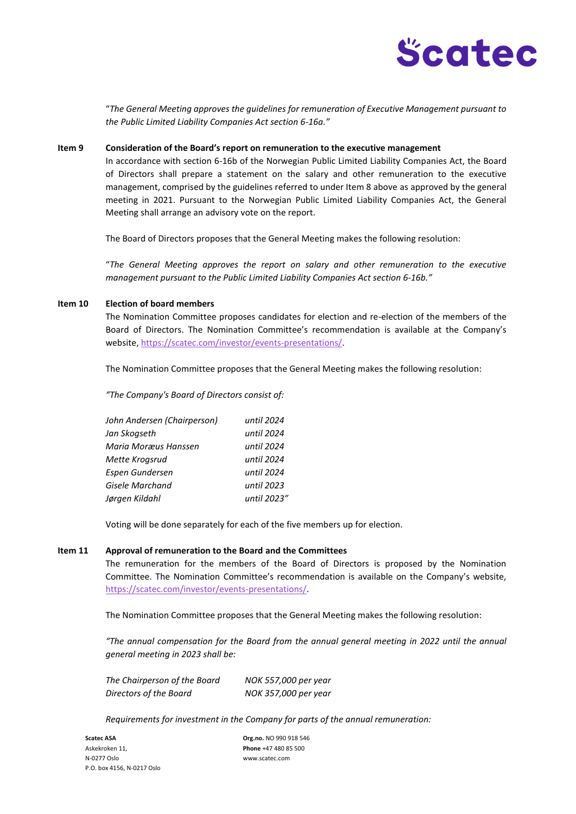

"*The General Meeting approves the guidelines for remuneration of Executive Management pursuant to the Public Limited Liability Companies Act section 6-16a."*

### **Item 9 Consideration of the Board's report on remuneration to the executive management**

In accordance with section 6-16b of the Norwegian Public Limited Liability Companies Act, the Board of Directors shall prepare a statement on the salary and other remuneration to the executive management, comprised by the guidelines referred to under Item 8 above as approved by the general meeting in 2021. Pursuant to the Norwegian Public Limited Liability Companies Act, the General Meeting shall arrange an advisory vote on the report.

The Board of Directors proposes that the General Meeting makes the following resolution:

"*The General Meeting approves the report on salary and other remuneration to the executive management pursuant to the Public Limited Liability Companies Act section 6-16b."*

#### **Item 10 Election of board members**

The Nomination Committee proposes candidates for election and re-election of the members of the Board of Directors. The Nomination Committee's recommendation is available at the Company's website, [https://scatec.com/investor/events-presentations/.](https://scatec.com/investor/events-presentations/)

The Nomination Committee proposes that the General Meeting makes the following resolution:

*"The Company's Board of Directors consist of:*

| John Andersen (Chairperson) | until 2024  |
|-----------------------------|-------------|
| Jan Skoaseth                | until 2024  |
| Maria Moræus Hanssen        | until 2024  |
| Mette Krogsrud              | until 2024  |
| Espen Gundersen             | until 2024  |
| Gisele Marchand             | until 2023  |
| Jørgen Kildahl              | until 2023" |

Voting will be done separately for each of the five members up for election.

### **Item 11 Approval of remuneration to the Board and the Committees**

The remuneration for the members of the Board of Directors is proposed by the Nomination Committee. The Nomination Committee's recommendation is available on the Company's website, [https://scatec.com/investor/events-presentations/.](https://scatec.com/investor/events-presentations/)

The Nomination Committee proposes that the General Meeting makes the following resolution:

*"The annual compensation for the Board from the annual general meeting in 2022 until the annual general meeting in 2023 shall be:* 

| The Chairperson of the Board | NOK 557,000 per year |
|------------------------------|----------------------|
| Directors of the Board       | NOK 357,000 per year |

*Requirements for investment in the Company for parts of the annual remuneration:* 

**Scatec ASA Org.no.** NO 990 918 546 Askekroken 11, **Phone** +47 480 85 500 N-0277 Oslo www.scatec.com P.O. box 4156, N-0217 Oslo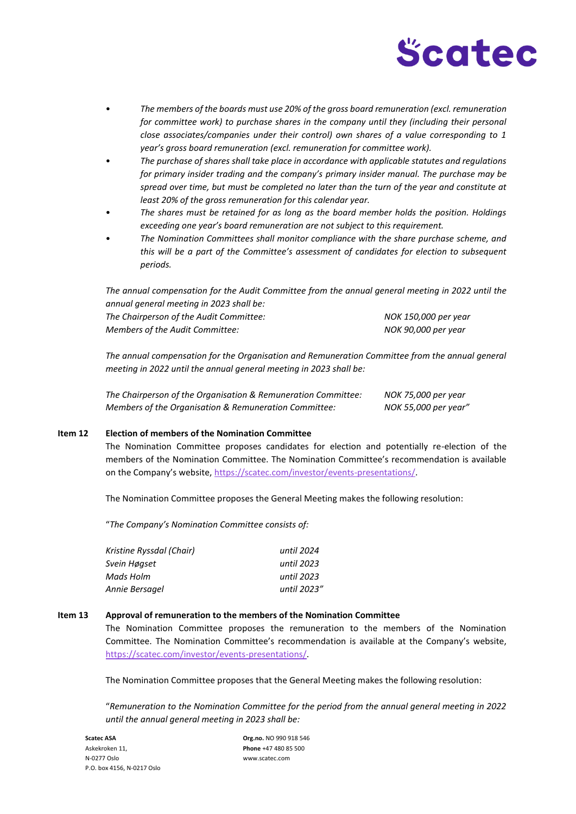

- *The members of the boards must use 20% of the gross board remuneration (excl. remuneration*  for committee work) to purchase shares in the company until they (including their personal *close associates/companies under their control) own shares of a value corresponding to 1 year's gross board remuneration (excl. remuneration for committee work).*
- *The purchase of shares shall take place in accordance with applicable statutes and regulations for primary insider trading and the company's primary insider manual. The purchase may be spread over time, but must be completed no later than the turn of the year and constitute at least 20% of the gross remuneration for this calendar year.*
- *The shares must be retained for as long as the board member holds the position. Holdings exceeding one year's board remuneration are not subject to this requirement.*
- *The Nomination Committees shall monitor compliance with the share purchase scheme, and this will be a part of the Committee's assessment of candidates for election to subsequent periods.*

*The annual compensation for the Audit Committee from the annual general meeting in 2022 until the annual general meeting in 2023 shall be: The Chairperson of the Audit Committee: NOK 150,000 per year* 

*Members of the Audit Committee: NOK 90,000 per year* 

*The annual compensation for the Organisation and Remuneration Committee from the annual general meeting in 2022 until the annual general meeting in 2023 shall be:*

| The Chairperson of the Organisation & Remuneration Committee: | NOK 75,000 per year  |
|---------------------------------------------------------------|----------------------|
| Members of the Organisation & Remuneration Committee:         | NOK 55,000 per year" |

## **Item 12 Election of members of the Nomination Committee**

The Nomination Committee proposes candidates for election and potentially re-election of the members of the Nomination Committee. The Nomination Committee's recommendation is available on the Company's website, [https://scatec.com/investor/events-presentations/.](https://scatec.com/investor/events-presentations/) 

The Nomination Committee proposes the General Meeting makes the following resolution:

"*The Company's Nomination Committee consists of:*

| Kristine Ryssdal (Chair) | until 2024  |
|--------------------------|-------------|
| Svein Høaset             | until 2023  |
| Mads Holm                | until 2023  |
| Annie Bersagel           | until 2023" |

### **Item 13 Approval of remuneration to the members of the Nomination Committee**

The Nomination Committee proposes the remuneration to the members of the Nomination Committee. The Nomination Committee's recommendation is available at the Company's website, [https://scatec.com/investor/events-presentations/.](https://scatec.com/investor/events-presentations/)

The Nomination Committee proposes that the General Meeting makes the following resolution:

"*Remuneration to the Nomination Committee for the period from the annual general meeting in 2022 until the annual general meeting in 2023 shall be:*

Askekroken 11, **Phone** +47 480 85 500 N-0277 Oslo www.scatec.com P.O. box 4156, N-0217 Oslo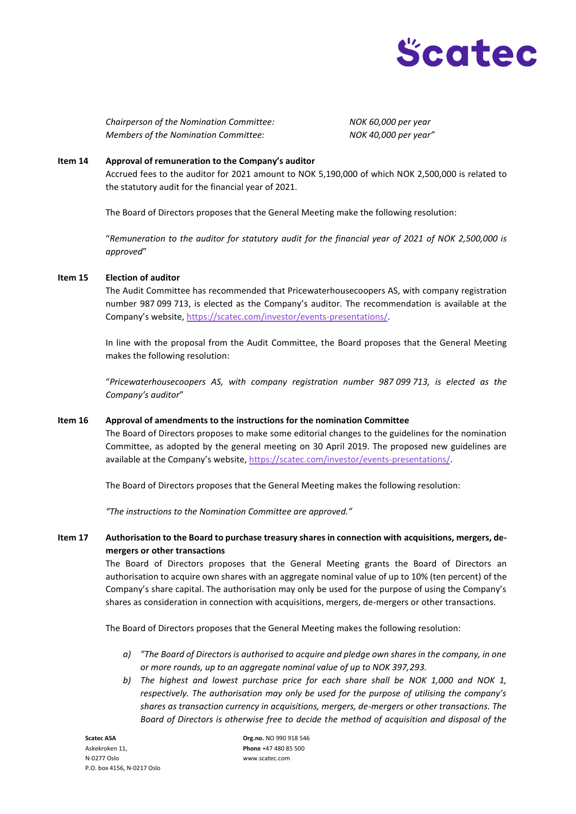

*Chairperson of the Nomination Committee: NOK 60,000 per year Members of the Nomination Committee: NOK 40,000 per year"*

## **Item 14 Approval of remuneration to the Company's auditor**

Accrued fees to the auditor for 2021 amount to NOK 5,190,000 of which NOK 2,500,000 is related to the statutory audit for the financial year of 2021.

The Board of Directors proposes that the General Meeting make the following resolution:

"*Remuneration to the auditor for statutory audit for the financial year of 2021 of NOK 2,500,000 is approved*"

## **Item 15 Election of auditor**

The Audit Committee has recommended that Pricewaterhousecoopers AS, with company registration number 987 099 713, is elected as the Company's auditor. The recommendation is available at the Company's website, [https://scatec.com/investor/events-presentations/.](https://scatec.com/investor/events-presentations/)

In line with the proposal from the Audit Committee, the Board proposes that the General Meeting makes the following resolution:

"*Pricewaterhousecoopers AS, with company registration number 987 099 713, is elected as the Company's auditor*"

## **Item 16 Approval of amendments to the instructions for the nomination Committee**

The Board of Directors proposes to make some editorial changes to the guidelines for the nomination Committee, as adopted by the general meeting on 30 April 2019. The proposed new guidelines are available at the Company's website[, https://scatec.com/investor/events-presentations/.](https://scatec.com/investor/events-presentations/)

The Board of Directors proposes that the General Meeting makes the following resolution:

*"The instructions to the Nomination Committee are approved."*

# **Item 17 Authorisation to the Board to purchase treasury shares in connection with acquisitions, mergers, demergers or other transactions**

The Board of Directors proposes that the General Meeting grants the Board of Directors an authorisation to acquire own shares with an aggregate nominal value of up to 10% (ten percent) of the Company's share capital. The authorisation may only be used for the purpose of using the Company's shares as consideration in connection with acquisitions, mergers, de-mergers or other transactions.

The Board of Directors proposes that the General Meeting makes the following resolution:

- *a) "The Board of Directors is authorised to acquire and pledge own shares in the company, in one or more rounds, up to an aggregate nominal value of up to NOK 397,293.*
- *b) The highest and lowest purchase price for each share shall be NOK 1,000 and NOK 1, respectively. The authorisation may only be used for the purpose of utilising the company's shares as transaction currency in acquisitions, mergers, de-mergers or other transactions. The Board of Directors is otherwise free to decide the method of acquisition and disposal of the*

Askekroken 11, **Phone** +47 480 85 500 N-0277 Oslo www.scatec.com P.O. box 4156, N-0217 Oslo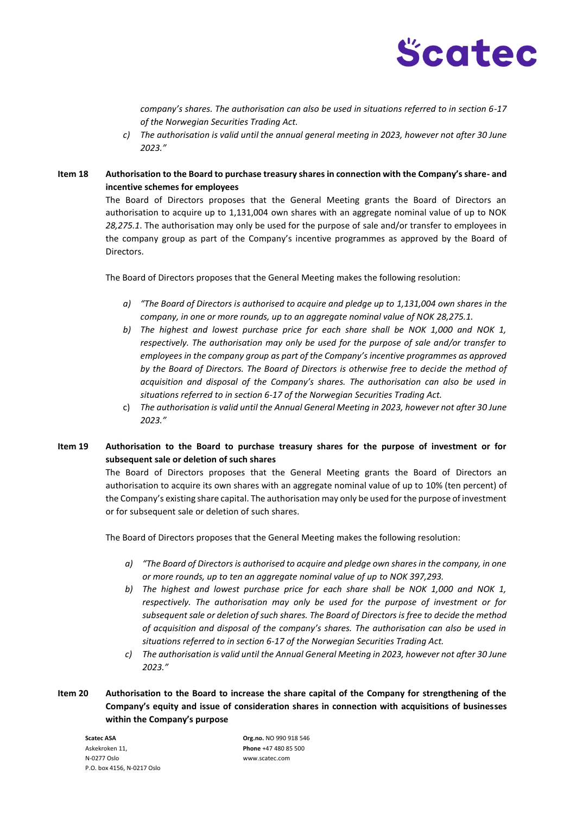

*company's shares. The authorisation can also be used in situations referred to in section 6-17 of the Norwegian Securities Trading Act.*

- *c) The authorisation is valid until the annual general meeting in 2023, however not after 30 June 2023."*
- **Item 18 Authorisation to the Board to purchase treasury shares in connection with the Company's share- and incentive schemes for employees**

The Board of Directors proposes that the General Meeting grants the Board of Directors an authorisation to acquire up to 1,131,004 own shares with an aggregate nominal value of up to NOK *28,275.1*. The authorisation may only be used for the purpose of sale and/or transfer to employees in the company group as part of the Company's incentive programmes as approved by the Board of Directors.

The Board of Directors proposes that the General Meeting makes the following resolution:

- *a) "The Board of Directors is authorised to acquire and pledge up to 1,131,004 own shares in the company, in one or more rounds, up to an aggregate nominal value of NOK 28,275.1.*
- *b) The highest and lowest purchase price for each share shall be NOK 1,000 and NOK 1, respectively. The authorisation may only be used for the purpose of sale and/or transfer to employees in the company group as part of the Company's incentive programmes as approved by the Board of Directors. The Board of Directors is otherwise free to decide the method of acquisition and disposal of the Company's shares. The authorisation can also be used in situations referred to in section 6-17 of the Norwegian Securities Trading Act.*
- c) *The authorisation is valid until the Annual General Meeting in 2023, however not after 30 June 2023."*

# **Item 19 Authorisation to the Board to purchase treasury shares for the purpose of investment or for subsequent sale or deletion of such shares**

The Board of Directors proposes that the General Meeting grants the Board of Directors an authorisation to acquire its own shares with an aggregate nominal value of up to 10% (ten percent) of the Company's existing share capital. The authorisation may only be used for the purpose of investment or for subsequent sale or deletion of such shares.

The Board of Directors proposes that the General Meeting makes the following resolution:

- *a) "The Board of Directors is authorised to acquire and pledge own shares in the company, in one or more rounds, up to ten an aggregate nominal value of up to NOK 397,293.*
- *b) The highest and lowest purchase price for each share shall be NOK 1,000 and NOK 1, respectively. The authorisation may only be used for the purpose of investment or for subsequent sale or deletion of such shares. The Board of Directors is free to decide the method of acquisition and disposal of the company's shares. The authorisation can also be used in situations referred to in section 6-17 of the Norwegian Securities Trading Act.*
- *c) The authorisation is valid until the Annual General Meeting in 2023, however not after 30 June 2023."*
- **Item 20 Authorisation to the Board to increase the share capital of the Company for strengthening of the Company's equity and issue of consideration shares in connection with acquisitions of businesses within the Company's purpose**

Askekroken 11, **Phone** +47 480 85 500 N-0277 Oslo www.scatec.com P.O. box 4156, N-0217 Oslo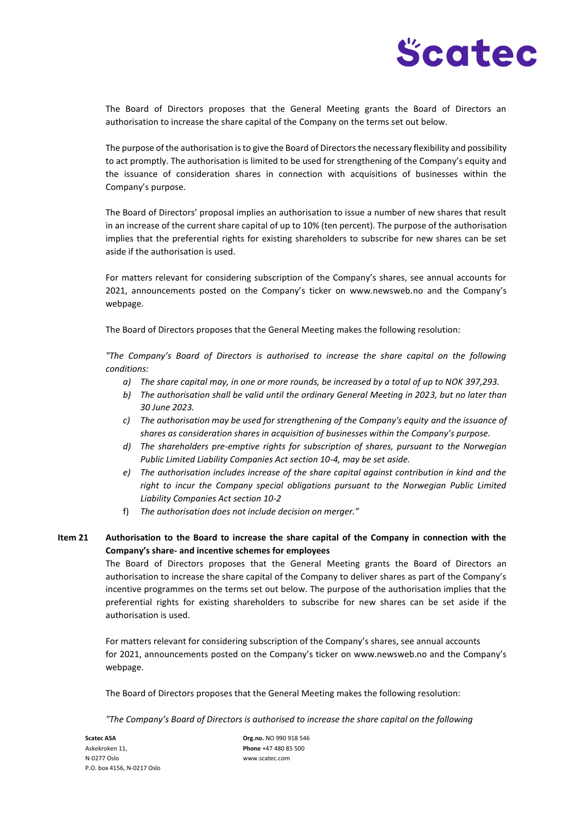

The Board of Directors proposes that the General Meeting grants the Board of Directors an authorisation to increase the share capital of the Company on the terms set out below.

The purpose of the authorisation is to give the Board of Directors the necessary flexibility and possibility to act promptly. The authorisation is limited to be used for strengthening of the Company's equity and the issuance of consideration shares in connection with acquisitions of businesses within the Company's purpose.

The Board of Directors' proposal implies an authorisation to issue a number of new shares that result in an increase of the current share capital of up to 10% (ten percent). The purpose of the authorisation implies that the preferential rights for existing shareholders to subscribe for new shares can be set aside if the authorisation is used.

For matters relevant for considering subscription of the Company's shares, see annual accounts for 2021, announcements posted on the Company's ticker on www.newsweb.no and the Company's webpage.

The Board of Directors proposes that the General Meeting makes the following resolution:

*"The Company's Board of Directors is authorised to increase the share capital on the following conditions:* 

- *a) The share capital may, in one or more rounds, be increased by a total of up to NOK 397,293.*
- *b) The authorisation shall be valid until the ordinary General Meeting in 2023, but no later than 30 June 2023.*
- *c) The authorisation may be used for strengthening of the Company's equity and the issuance of shares as consideration shares in acquisition of businesses within the Company's purpose.*
- *d) The shareholders pre-emptive rights for subscription of shares, pursuant to the Norwegian Public Limited Liability Companies Act section 10-4, may be set aside.*
- *e) The authorisation includes increase of the share capital against contribution in kind and the right to incur the Company special obligations pursuant to the Norwegian Public Limited Liability Companies Act section 10-2*
- f) *The authorisation does not include decision on merger."*

# **Item 21 Authorisation to the Board to increase the share capital of the Company in connection with the Company's share- and incentive schemes for employees**

The Board of Directors proposes that the General Meeting grants the Board of Directors an authorisation to increase the share capital of the Company to deliver shares as part of the Company's incentive programmes on the terms set out below. The purpose of the authorisation implies that the preferential rights for existing shareholders to subscribe for new shares can be set aside if the authorisation is used.

For matters relevant for considering subscription of the Company's shares, see annual accounts for 2021, announcements posted on the Company's ticker on www.newsweb.no and the Company's webpage.

The Board of Directors proposes that the General Meeting makes the following resolution:

*"The Company's Board of Directors is authorised to increase the share capital on the following* 

**Scatec ASA Org.no.** NO 990 918 546 Askekroken 11, **Phone** +47 480 85 500 N-0277 Oslo www.scatec.com P.O. box 4156, N-0217 Oslo